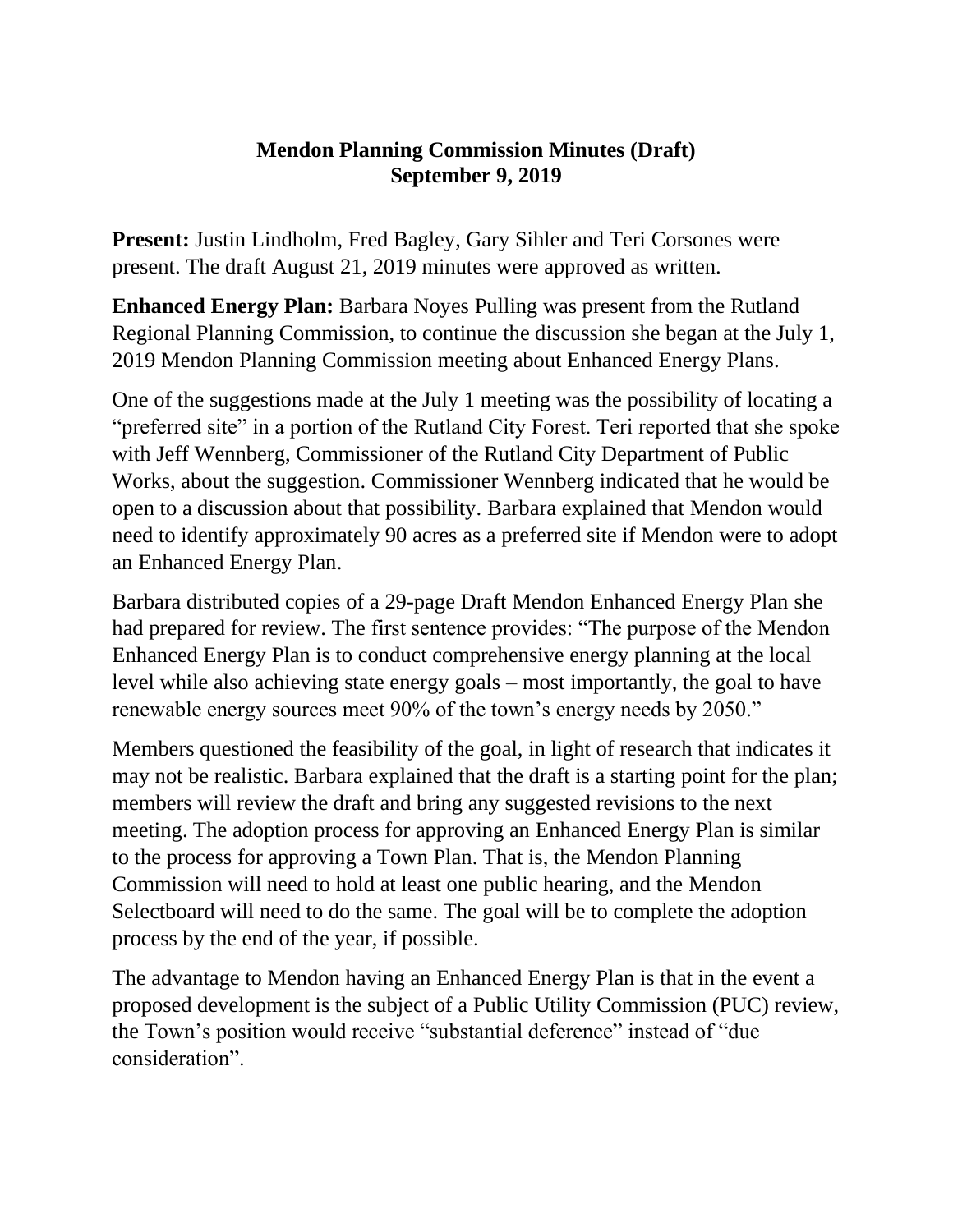## **Mendon Planning Commission Minutes (Draft) September 9, 2019**

**Present:** Justin Lindholm, Fred Bagley, Gary Sihler and Teri Corsones were present. The draft August 21, 2019 minutes were approved as written.

**Enhanced Energy Plan:** Barbara Noyes Pulling was present from the Rutland Regional Planning Commission, to continue the discussion she began at the July 1, 2019 Mendon Planning Commission meeting about Enhanced Energy Plans.

One of the suggestions made at the July 1 meeting was the possibility of locating a "preferred site" in a portion of the Rutland City Forest. Teri reported that she spoke with Jeff Wennberg, Commissioner of the Rutland City Department of Public Works, about the suggestion. Commissioner Wennberg indicated that he would be open to a discussion about that possibility. Barbara explained that Mendon would need to identify approximately 90 acres as a preferred site if Mendon were to adopt an Enhanced Energy Plan.

Barbara distributed copies of a 29-page Draft Mendon Enhanced Energy Plan she had prepared for review. The first sentence provides: "The purpose of the Mendon Enhanced Energy Plan is to conduct comprehensive energy planning at the local level while also achieving state energy goals – most importantly, the goal to have renewable energy sources meet 90% of the town's energy needs by 2050."

Members questioned the feasibility of the goal, in light of research that indicates it may not be realistic. Barbara explained that the draft is a starting point for the plan; members will review the draft and bring any suggested revisions to the next meeting. The adoption process for approving an Enhanced Energy Plan is similar to the process for approving a Town Plan. That is, the Mendon Planning Commission will need to hold at least one public hearing, and the Mendon Selectboard will need to do the same. The goal will be to complete the adoption process by the end of the year, if possible.

The advantage to Mendon having an Enhanced Energy Plan is that in the event a proposed development is the subject of a Public Utility Commission (PUC) review, the Town's position would receive "substantial deference" instead of "due consideration".